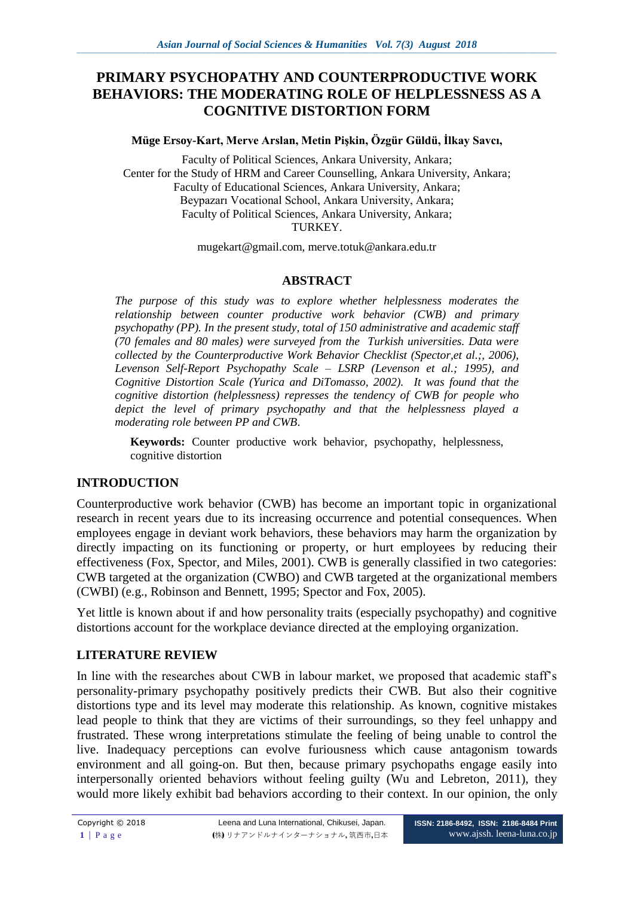# **PRIMARY PSYCHOPATHY AND COUNTERPRODUCTIVE WORK BEHAVIORS: THE MODERATING ROLE OF HELPLESSNESS AS A COGNITIVE DISTORTION FORM**

#### **Müge Ersoy-Kart, Merve Arslan, Metin Pişkin, Özgür Güldü, İlkay Savcı,**

Faculty of Political Sciences, Ankara University, Ankara; Center for the Study of HRM and Career Counselling, Ankara University, Ankara; Faculty of Educational Sciences, Ankara University, Ankara; Beypazarı Vocational School, Ankara University, Ankara; Faculty of Political Sciences, Ankara University, Ankara; TURKEY.

[mugekart@gmail.com,](mailto:mugekart@gmail.com) [merve.totuk@ankara.edu.tr](mailto:Merve.Totuk@ankara.edu.tr)

#### **ABSTRACT**

*The purpose of this study was to explore whether helplessness moderates the relationship between counter productive work behavior (CWB) and primary psychopathy (PP). In the present study, total of 150 administrative and academic staff (70 females and 80 males) were surveyed from the Turkish universities. Data were collected by the Counterproductive Work Behavior Checklist (Spector,et al.;, 2006), Levenson Self-Report Psychopathy Scale – LSRP (Levenson et al.; 1995), and Cognitive Distortion Scale (Yurica and DiTomasso, 2002). It was found that the cognitive distortion (helplessness) represses the tendency of CWB for people who depict the level of primary psychopathy and that the helplessness played a moderating role between PP and CWB*.

**Keywords:** Counter productive work behavior, psychopathy, helplessness, cognitive distortion

#### **INTRODUCTION**

Counterproductive work behavior (CWB) has become an important topic in organizational research in recent years due to its increasing occurrence and potential consequences. When employees engage in deviant work behaviors, these behaviors may harm the organization by directly impacting on its functioning or property, or hurt employees by reducing their effectiveness (Fox, Spector, and Miles, 2001). CWB is generally classified in two categories: CWB targeted at the organization (CWBO) and CWB targeted at the organizational members (CWBI) (e.g., Robinson and Bennett, 1995; Spector and Fox, 2005).

Yet little is known about if and how personality traits (especially psychopathy) and cognitive distortions account for the workplace deviance directed at the employing organization.

### **LITERATURE REVIEW**

In line with the researches about CWB in labour market, we proposed that academic staff's personality-primary psychopathy positively predicts their CWB. But also their cognitive distortions type and its level may moderate this relationship. As known, cognitive mistakes lead people to think that they are victims of their surroundings, so they feel unhappy and frustrated. These wrong interpretations stimulate the feeling of being unable to control the live. Inadequacy perceptions can evolve [furiousness](http://tureng.com/tr/turkce-ingilizce/furiousness) which cause [antagonism](http://tureng.com/tr/turkce-ingilizce/antagonism) towards environment and all going-on. But then, because primary psychopaths engage easily into interpersonally oriented behaviors without feeling guilty (Wu and Lebreton, 2011), they would more likely exhibit bad behaviors according to their context. In our opinion, the only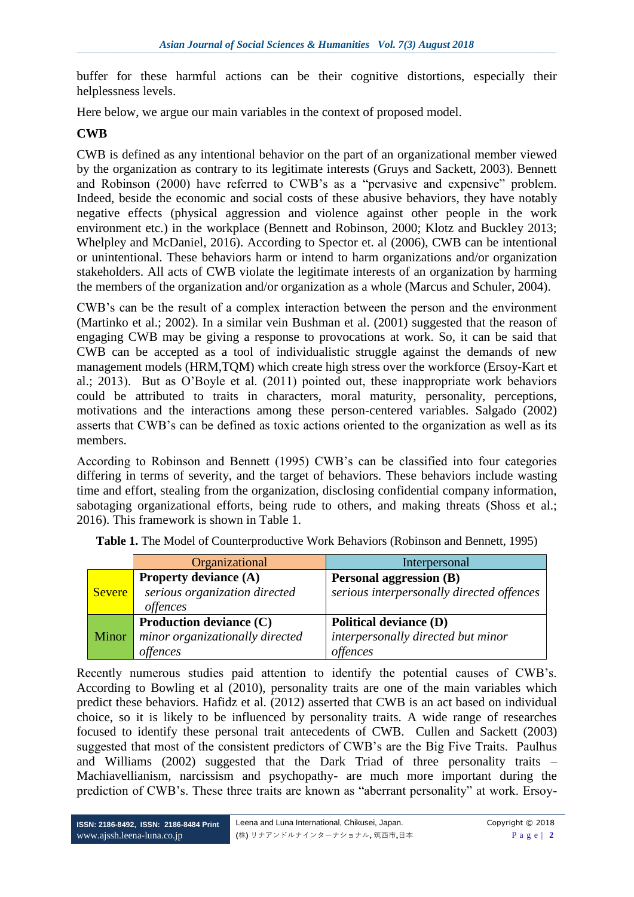buffer for these harmful actions can be their cognitive distortions, especially their helplessness levels.

Here below, we argue our main variables in the context of proposed model.

#### **CWB**

CWB is defined as any intentional behavior on the part of an organizational member viewed by the organization as contrary to its legitimate interests (Gruys and Sackett, 2003). Bennett and Robinson (2000) have referred to CWB's as a "pervasive and expensive" problem. Indeed, beside the economic and social costs of these abusive behaviors, they have notably negative effects (physical aggression and violence against other people in the work environment etc.) in the workplace (Bennett and Robinson, 2000; Klotz and Buckley 2013; Whelpley and McDaniel, 2016). According to Spector et. al (2006), CWB can be intentional or unintentional. These behaviors harm or intend to harm organizations and/or organization stakeholders. All acts of CWB violate the legitimate interests of an organization by harming the members of the organization and/or organization as a whole (Marcus and Schuler, 2004).

CWB's can be the result of a complex interaction between the person and the environment (Martinko et al.; 2002). In a similar vein Bushman et al. (2001) suggested that the reason of engaging CWB may be giving a response to provocations at work. So, it can be said that CWB can be accepted as a tool of individualistic struggle against the demands of new management models (HRM,TQM) which create high stress over the workforce (Ersoy-Kart et al.; 2013). But as O'Boyle et al. (2011) pointed out, these inappropriate work behaviors could be attributed to traits in characters, moral maturity, personality, perceptions, motivations and the interactions among these person-centered variables. Salgado (2002) asserts that CWB's can be defined as toxic actions oriented to the organization as well as its members.

According to Robinson and Bennett (1995) CWB's can be classified into four categories differing in terms of severity, and the target of behaviors. These behaviors include wasting time and effort, stealing from the organization, disclosing confidential company information, sabotaging organizational efforts, being rude to others, and making threats (Shoss et al.; 2016). This framework is shown in Table 1.

|               | Organizational                                                                   | Interpersonal                                                                   |
|---------------|----------------------------------------------------------------------------------|---------------------------------------------------------------------------------|
| <b>Severe</b> | <b>Property deviance (A)</b><br>serious organization directed<br><i>offences</i> | <b>Personal aggression (B)</b><br>serious interpersonally directed offences     |
| Minor         | <b>Production deviance (C)</b><br>minor organizationally directed<br>offences    | <b>Political deviance (D)</b><br>interpersonally directed but minor<br>offences |

Table 1. The Model of Counterproductive Work Behaviors (Robinson and Bennett, 1995)

Recently numerous studies paid attention to identify the potential causes of CWB's. According to Bowling et al (2010), personality traits are one of the main variables which predict these behaviors. Hafidz et al. (2012) asserted that CWB is an act based on individual choice, so it is likely to be influenced by personality traits. A wide range of researches focused to identify these personal trait antecedents of CWB. Cullen and Sackett (2003) suggested that most of the consistent predictors of CWB's are the Big Five Traits. Paulhus and Williams (2002) suggested that the Dark Triad of three personality traits – Machiavellianism, narcissism and psychopathy- are much more important during the prediction of CWB's. These three traits are known as "aberrant personality" at work. Ersoy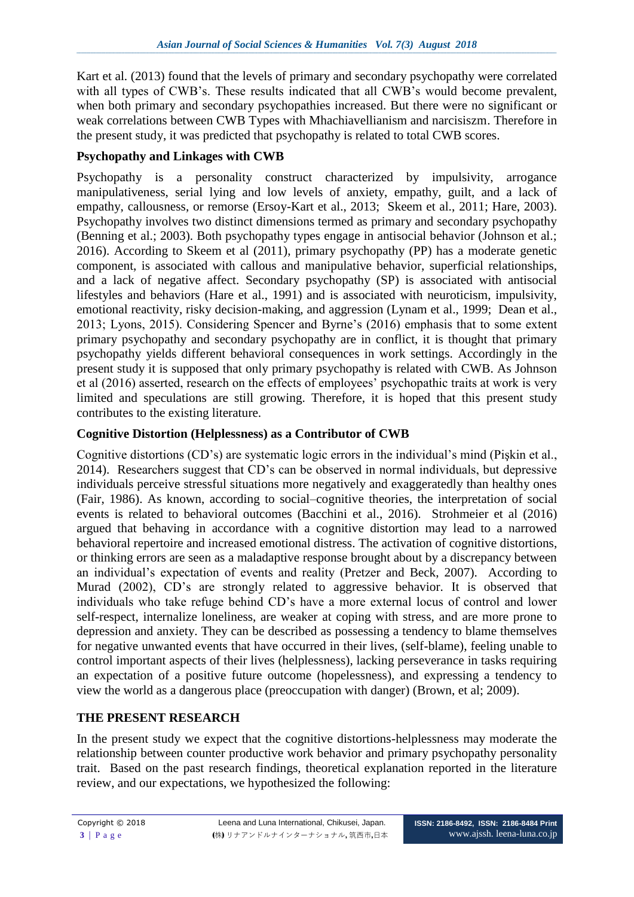Kart et al. (2013) found that the levels of primary and secondary psychopathy were correlated with all types of CWB's. These results indicated that all CWB's would become prevalent, when both primary and secondary psychopathies increased. But there were no significant or weak correlations between CWB Types with Mhachiavellianism and narcisiszm. Therefore in the present study, it was predicted that psychopathy is related to total CWB scores.

## **Psychopathy and Linkages with CWB**

Psychopathy is a personality construct characterized by impulsivity, arrogance manipulativeness, serial lying and low levels of anxiety, empathy, guilt, and a lack of empathy, callousness, or remorse (Ersoy-Kart et al., 2013; Skeem et al., 2011; Hare, 2003). Psychopathy involves two distinct dimensions termed as primary and secondary psychopathy (Benning et al.; 2003). Both psychopathy types engage in antisocial behavior (Johnson et al.; 2016). According to Skeem et al (2011), primary psychopathy (PP) has a moderate genetic component, is associated with callous and manipulative behavior, superficial relationships, and a lack of negative affect. Secondary psychopathy (SP) is associated with antisocial lifestyles and behaviors (Hare et al., 1991) and is associated with neuroticism, impulsivity, emotional reactivity, risky decision-making, and aggression (Lynam et al., 1999; Dean et al., 2013; Lyons, 2015). Considering Spencer and Byrne's (2016) emphasis that to some extent primary psychopathy and secondary psychopathy are in conflict, it is thought that primary psychopathy yields different behavioral consequences in work settings. Accordingly in the present study it is supposed that only primary psychopathy is related with CWB. As Johnson et al (2016) asserted, research on the effects of employees' psychopathic traits at work is very limited and speculations are still growing. Therefore, it is hoped that this present study contributes to the existing literature.

### **Cognitive Distortion (Helplessness) as a Contributor of CWB**

Cognitive distortions (CD's) are systematic logic errors in the individual's mind (Pişkin et al., 2014). Researchers suggest that CD's can be observed in normal individuals, but depressive individuals perceive stressful situations more negatively and exaggeratedly than healthy ones (Fair, 1986). As known, according to social–cognitive theories, the interpretation of social events is related to behavioral outcomes (Bacchini et al., 2016). Strohmeier et al (2016) argued that behaving in accordance with a cognitive distortion may lead to a narrowed behavioral repertoire and increased emotional distress. The activation of cognitive distortions, or thinking errors are seen as a maladaptive response brought about by a discrepancy between an individual's expectation of events and reality (Pretzer and Beck, 2007). According to Murad (2002), CD's are strongly related to aggressive behavior. It is observed that individuals who take refuge behind CD's have a more external locus of control and lower self-respect, internalize loneliness, are weaker at coping with stress, and are more prone to depression and anxiety. They can be described as possessing a tendency to blame themselves for negative unwanted events that have occurred in their lives, (self-blame), feeling unable to control important aspects of their lives (helplessness), lacking perseverance in tasks requiring an expectation of a positive future outcome (hopelessness), and expressing a tendency to view the world as a dangerous place (preoccupation with danger) (Brown, et al; 2009).

### **THE PRESENT RESEARCH**

In the present study we expect that the cognitive distortions-helplessness may moderate the relationship between counter productive work behavior and primary psychopathy personality trait. Based on the past research findings, theoretical explanation reported in the literature review, and our expectations, we hypothesized the following: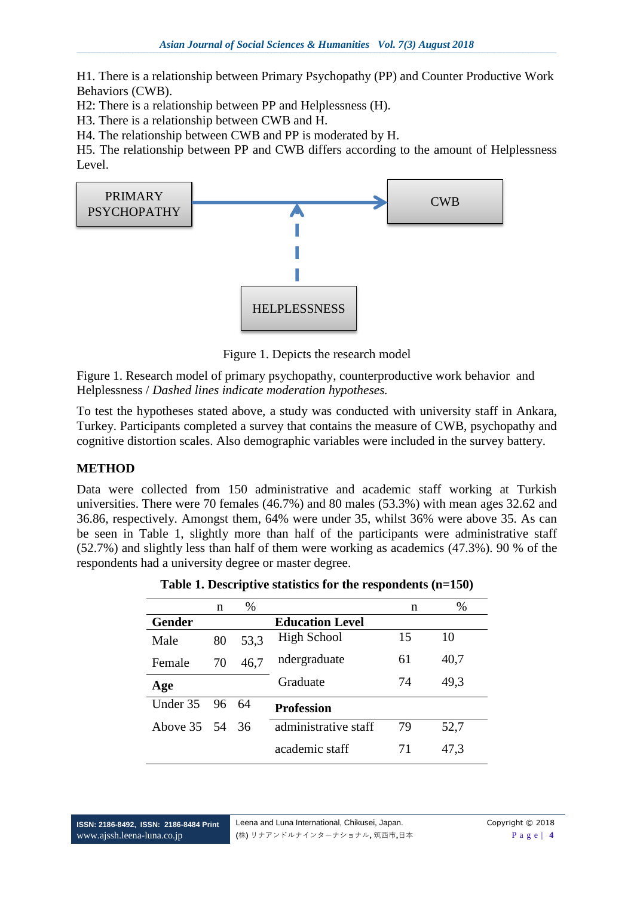H1. There is a relationship between Primary Psychopathy (PP) and Counter Productive Work Behaviors (CWB).

H2: There is a relationship between PP and Helplessness (H).

H3. There is a relationship between CWB and H.

H4. The relationship between CWB and PP is moderated by H.

H5. The relationship between PP and CWB differs according to the amount of Helplessness Level.



Figure 1. Depicts the research model

Figure 1. Research model of primary psychopathy, counterproductive work behavior and Helplessness / *Dashed lines indicate moderation hypotheses.*

To test the hypotheses stated above, a study was conducted with university staff in Ankara, Turkey. Participants completed a survey that contains the measure of CWB, psychopathy and cognitive distortion scales. Also demographic variables were included in the survey battery.

### **METHOD**

Data were collected from 150 administrative and academic staff working at Turkish universities. There were 70 females (46.7%) and 80 males (53.3%) with mean ages 32.62 and 36.86, respectively. Amongst them, 64% were under 35, whilst 36% were above 35. As can be seen in Table 1, slightly more than half of the participants were administrative staff (52.7%) and slightly less than half of them were working as academics (47.3%). 90 % of the respondents had a university degree or master degree.

**Table 1. Descriptive statistics for the respondents (n=150)**

|               | n  | $\%$ |                        | n  | $\%$ |
|---------------|----|------|------------------------|----|------|
| <b>Gender</b> |    |      | <b>Education Level</b> |    |      |
| Male          | 80 | 53,3 | <b>High School</b>     | 15 | 10   |
| Female        | 70 | 46,7 | ndergraduate           | 61 | 40,7 |
| Age           |    |      | Graduate               | 74 | 49,3 |
| Under 35      | 96 | -64  | <b>Profession</b>      |    |      |
| Above 35 54   |    | -36  | administrative staff   | 79 | 52,7 |
|               |    |      | academic staff         | 71 | 47,3 |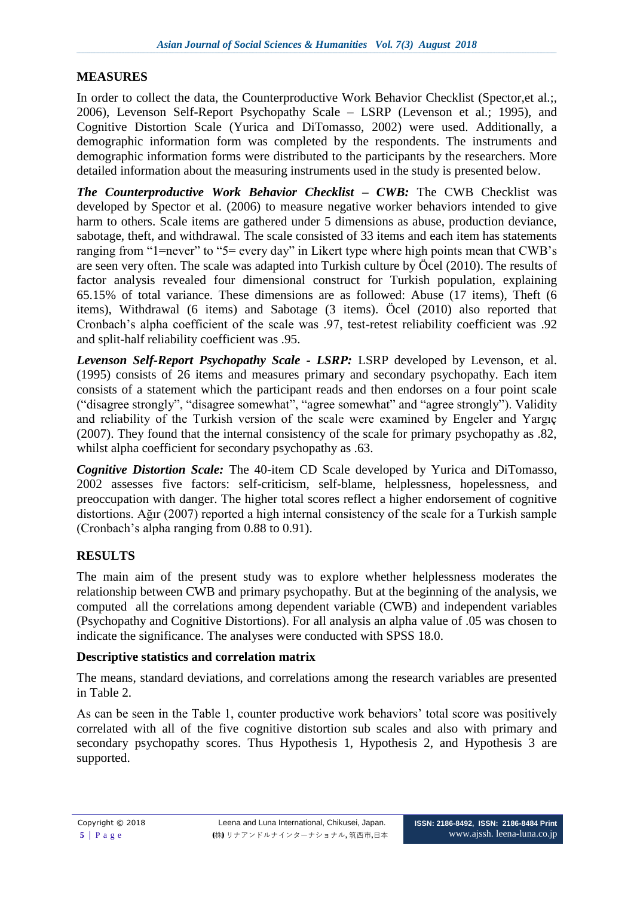## **MEASURES**

In order to collect the data, the Counterproductive Work Behavior Checklist (Spector,et al.;, 2006), Levenson Self-Report Psychopathy Scale – LSRP (Levenson et al.; 1995), and Cognitive Distortion Scale (Yurica and DiTomasso, 2002) were used. Additionally, a demographic information form was completed by the respondents. The instruments and demographic information forms were distributed to the participants by the researchers. More detailed information about the measuring instruments used in the study is presented below.

*The Counterproductive Work Behavior Checklist – CWB:* The CWB Checklist was developed by Spector et al. (2006) to measure negative worker behaviors intended to give harm to others. Scale items are gathered under 5 dimensions as abuse, production deviance, sabotage, theft, and withdrawal. The scale consisted of 33 items and each item has statements ranging from "1=never" to "5= every day" in Likert type where high points mean that CWB's are seen very often. The scale was adapted into Turkish culture by Öcel (2010). The results of factor analysis revealed four dimensional construct for Turkish population, explaining 65.15% of total variance. These dimensions are as followed: Abuse (17 items), Theft (6 items), Withdrawal (6 items) and Sabotage (3 items). Öcel (2010) also reported that Cronbach's alpha coefficient of the scale was .97, test-retest reliability coefficient was .92 and split-half reliability coefficient was .95.

*Levenson Self-Report Psychopathy Scale - LSRP:* LSRP developed by Levenson, et al. (1995) consists of 26 items and measures primary and secondary psychopathy. Each item consists of a statement which the participant reads and then endorses on a four point scale ("disagree strongly", "disagree somewhat", "agree somewhat" and "agree strongly"). Validity and reliability of the Turkish version of the scale were examined by Engeler and Yargıç (2007). They found that the internal consistency of the scale for primary psychopathy as .82, whilst alpha coefficient for secondary psychopathy as .63.

*Cognitive Distortion Scale:* The 40-item CD Scale developed by Yurica and DiTomasso, 2002 assesses five factors: self-criticism, self-blame, helplessness, hopelessness, and preoccupation with danger. The higher total scores reflect a higher endorsement of cognitive distortions. Ağır (2007) reported a high internal consistency of the scale for a Turkish sample (Cronbach's alpha ranging from 0.88 to 0.91).

# **RESULTS**

The main aim of the present study was to explore whether helplessness moderates the relationship between CWB and primary psychopathy. But at the beginning of the analysis, we computed all the correlations among dependent variable (CWB) and independent variables (Psychopathy and Cognitive Distortions). For all analysis an alpha value of .05 was chosen to indicate the significance. The analyses were conducted with SPSS 18.0.

### **Descriptive statistics and correlation matrix**

The means, standard deviations, and correlations among the research variables are presented in Table 2.

As can be seen in the Table 1, counter productive work behaviors' total score was positively correlated with all of the five cognitive distortion sub scales and also with primary and secondary psychopathy scores. Thus Hypothesis 1, Hypothesis 2, and Hypothesis 3 are supported.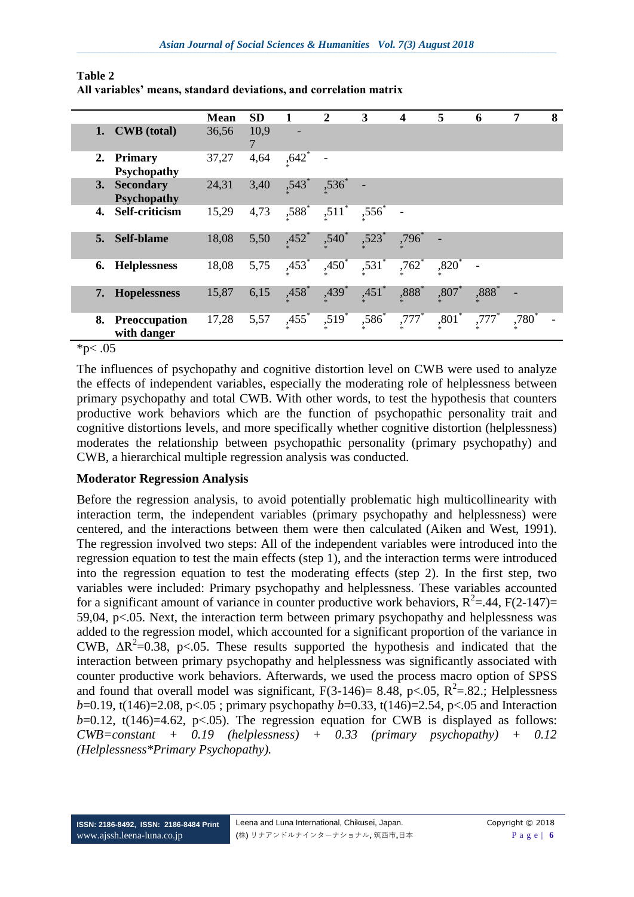|    |                                        | <b>Mean</b> | <b>SD</b> |                     | $\mathbf{2}$        | 3                   | $\overline{\mathbf{4}}$ | 5                   | 6        | 7        | 8 |
|----|----------------------------------------|-------------|-----------|---------------------|---------------------|---------------------|-------------------------|---------------------|----------|----------|---|
|    | 1. CWB (total)                         | 36,56       | 10,9      |                     |                     |                     |                         |                     |          |          |   |
| 2. | <b>Primary</b><br><b>Psychopathy</b>   | 37,27       | 4,64      | ,642                |                     |                     |                         |                     |          |          |   |
| 3. | <b>Secondary</b><br><b>Psychopathy</b> | 24,31       | 3,40      | ,543                | $,536*$             |                     |                         |                     |          |          |   |
| 4. | Self-criticism                         | 15,29       | 4,73      | $,588$ <sup>*</sup> | $,511$ <sup>*</sup> | $,556^*$            |                         |                     |          |          |   |
| 5. | Self-blame                             | 18,08       | 5,50      | $,452*$             | $,540^*$            | ,523                | ,796                    |                     |          |          |   |
| 6. | <b>Helplessness</b>                    | 18,08       | 5,75      | $,453*$             | $,450^*$            | $,531$ <sup>*</sup> | $,762$ <sup>*</sup>     | $,820$ <sup>*</sup> |          |          |   |
| 7. | <b>Hopelessness</b>                    | 15,87       | 6,15      | ,458                | $,439$ <sup>*</sup> | $,451$ *            | ,888*                   | ,807                | $,888^*$ |          |   |
| 8. | Preoccupation<br>with danger           | 17,28       | 5,57      | $,455$ <sup>*</sup> | $,519$ <sup>*</sup> | ,586                | $,777$ <sup>*</sup>     | ,801                | $,777*$  | $,780^*$ |   |

| Table 2 |                                                                   |  |  |
|---------|-------------------------------------------------------------------|--|--|
|         | All variables' means, standard deviations, and correlation matrix |  |  |

 $*_{p < .05}$ 

The influences of psychopathy and cognitive distortion level on CWB were used to analyze the effects of independent variables, especially the moderating role of helplessness between primary psychopathy and total CWB. With other words, to test the hypothesis that counters productive work behaviors which are the function of psychopathic personality trait and cognitive distortions levels, and more specifically whether cognitive distortion (helplessness) moderates the relationship between psychopathic personality (primary psychopathy) and CWB, a hierarchical multiple regression analysis was conducted.

### **Moderator Regression Analysis**

Before the regression analysis, to avoid potentially problematic high multicollinearity with interaction term, the independent variables (primary psychopathy and helplessness) were centered, and the interactions between them were then calculated (Aiken and West, 1991). The regression involved two steps: All of the independent variables were introduced into the regression equation to test the main effects (step 1), and the interaction terms were introduced into the regression equation to test the moderating effects (step 2). In the first step, two variables were included: Primary psychopathy and helplessness. These variables accounted for a significant amount of variance in counter productive work behaviors,  $R^2 = .44$ ,  $F(2-147) =$ 59,04, p<.05. Next, the interaction term between primary psychopathy and helplessness was added to the regression model, which accounted for a significant proportion of the variance in CWB,  $\Delta R^2 = 0.38$ , p<.05. These results supported the hypothesis and indicated that the interaction between primary psychopathy and helplessness was significantly associated with counter productive work behaviors. Afterwards, we used the process macro option of SPSS and found that overall model was significant,  $F(3-146)= 8.48$ ,  $p<.05$ ,  $R^2=.82$ .; Helplessness *b*=0.19, t(146)=2.08, p<.05 ; primary psychopathy *b*=0.33, t(146)=2.54, p<.05 and Interaction  $b=0.12$ , t(146)=4.62, p<.05). The regression equation for CWB is displayed as follows: *CWB=constant + 0.19 (helplessness) + 0.33 (primary psychopathy) + 0.12 (Helplessness\*Primary Psychopathy).*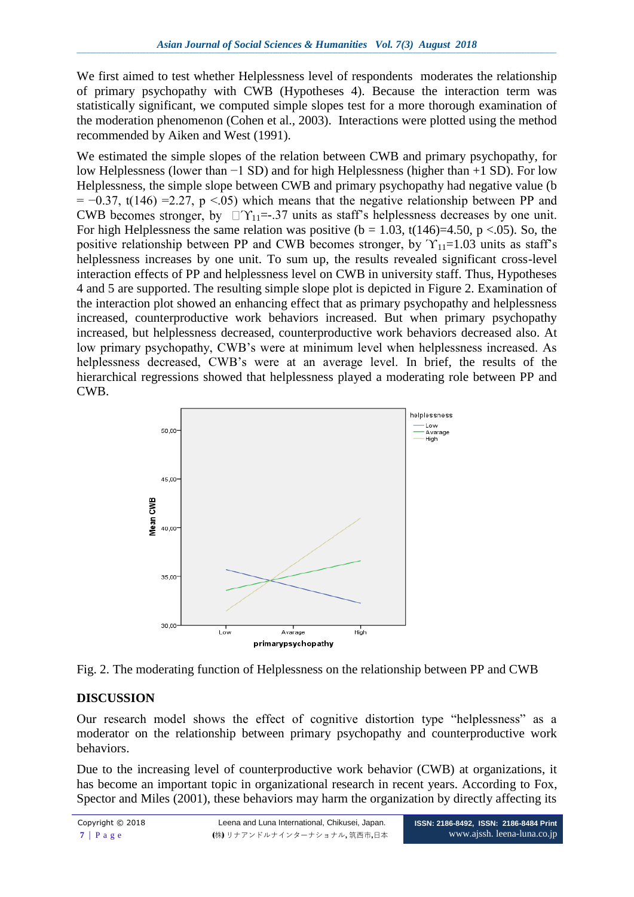We first aimed to test whether Helplessness level of respondents moderates the relationship of primary psychopathy with CWB (Hypotheses 4). Because the interaction term was statistically significant, we computed simple slopes test for a more thorough examination of the moderation phenomenon (Cohen et al., 2003). Interactions were plotted using the method recommended by Aiken and West (1991).

We estimated the simple slopes of the relation between CWB and primary psychopathy, for low Helplessness (lower than −1 SD) and for high Helplessness (higher than +1 SD). For low Helplessness, the simple slope between CWB and primary psychopathy had negative value (b  $= -0.37$ , t(146) = 2.27, p <.05) which means that the negative relationship between PP and CWB becomes stronger, by  $\Box \Upsilon_{11} = .37$  units as staff's helplessness decreases by one unit. For high Helplessness the same relation was positive ( $b = 1.03$ ,  $t(146)=4.50$ ,  $p < 0.05$ ). So, the positive relationship between PP and CWB becomes stronger, by  $\Upsilon_{11}=1.03$  units as staff's helplessness increases by one unit. To sum up, the results revealed significant cross-level interaction effects of PP and helplessness level on CWB in university staff. Thus, Hypotheses 4 and 5 are supported. The resulting simple slope plot is depicted in Figure 2. Examination of the interaction plot showed an enhancing effect that as primary psychopathy and helplessness increased, counterproductive work behaviors increased. But when primary psychopathy increased, but helplessness decreased, counterproductive work behaviors decreased also. At low primary psychopathy, CWB's were at minimum level when helplessness increased. As helplessness decreased, CWB's were at an average level. In brief, the results of the hierarchical regressions showed that helplessness played a moderating role between PP and CWB.





### **DISCUSSION**

Our research model shows the effect of cognitive distortion type "helplessness" as a moderator on the relationship between primary psychopathy and counterproductive work behaviors.

Due to the increasing level of counterproductive work behavior (CWB) at organizations, it has become an important topic in organizational research in recent years. According to Fox, Spector and Miles (2001), these behaviors may harm the organization by directly affecting its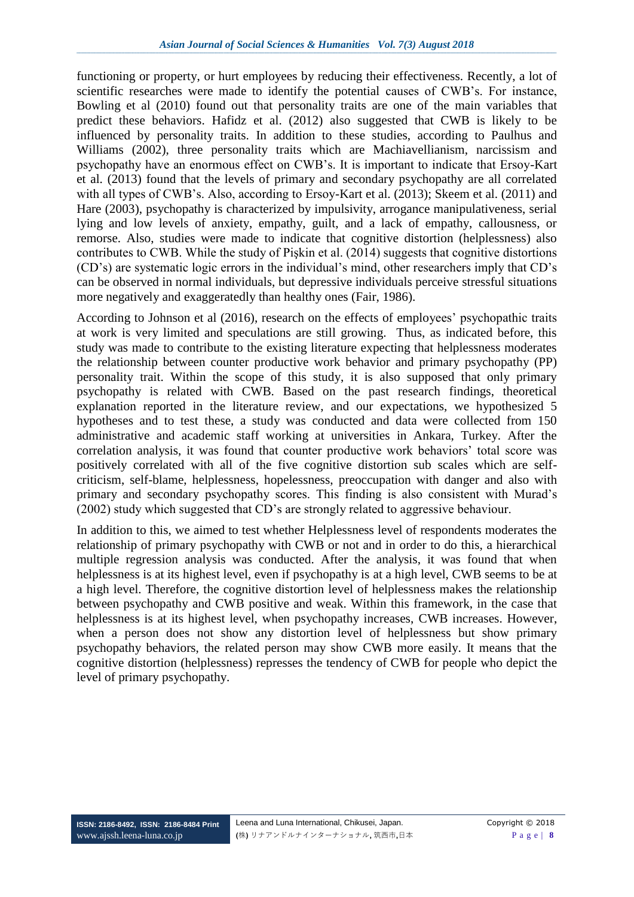functioning or property, or hurt employees by reducing their effectiveness. Recently, a lot of scientific researches were made to identify the potential causes of CWB's. For instance, Bowling et al (2010) found out that personality traits are one of the main variables that predict these behaviors. Hafidz et al. (2012) also suggested that CWB is likely to be influenced by personality traits. In addition to these studies, according to Paulhus and Williams (2002), three personality traits which are Machiavellianism, narcissism and psychopathy have an enormous effect on CWB's. It is important to indicate that Ersoy-Kart et al. (2013) found that the levels of primary and secondary psychopathy are all correlated with all types of CWB's. Also, according to Ersoy-Kart et al. (2013); Skeem et al. (2011) and Hare (2003), psychopathy is characterized by impulsivity, arrogance manipulativeness, serial lying and low levels of anxiety, empathy, guilt, and a lack of empathy, callousness, or remorse. Also, studies were made to indicate that cognitive distortion (helplessness) also contributes to CWB. While the study of Pişkin et al. (2014) suggests that cognitive distortions (CD's) are systematic logic errors in the individual's mind, other researchers imply that CD's can be observed in normal individuals, but depressive individuals perceive stressful situations more negatively and exaggeratedly than healthy ones (Fair, 1986).

According to Johnson et al (2016), research on the effects of employees' psychopathic traits at work is very limited and speculations are still growing. Thus, as indicated before, this study was made to contribute to the existing literature expecting that helplessness moderates the relationship between counter productive work behavior and primary psychopathy (PP) personality trait. Within the scope of this study, it is also supposed that only primary psychopathy is related with CWB. Based on the past research findings, theoretical explanation reported in the literature review, and our expectations, we hypothesized 5 hypotheses and to test these, a study was conducted and data were collected from 150 administrative and academic staff working at universities in Ankara, Turkey. After the correlation analysis, it was found that counter productive work behaviors' total score was positively correlated with all of the five cognitive distortion sub scales which are selfcriticism, self-blame, helplessness, hopelessness, preoccupation with danger and also with primary and secondary psychopathy scores. This finding is also consistent with Murad's (2002) study which suggested that CD's are strongly related to aggressive behaviour.

In addition to this, we aimed to test whether Helplessness level of respondents moderates the relationship of primary psychopathy with CWB or not and in order to do this, a hierarchical multiple regression analysis was conducted. After the analysis, it was found that when helplessness is at its highest level, even if psychopathy is at a high level, CWB seems to be at a high level. Therefore, the cognitive distortion level of helplessness makes the relationship between psychopathy and CWB positive and weak. Within this framework, in the case that helplessness is at its highest level, when psychopathy increases, CWB increases. However, when a person does not show any distortion level of helplessness but show primary psychopathy behaviors, the related person may show CWB more easily. It means that the cognitive distortion (helplessness) represses the tendency of CWB for people who depict the level of primary psychopathy.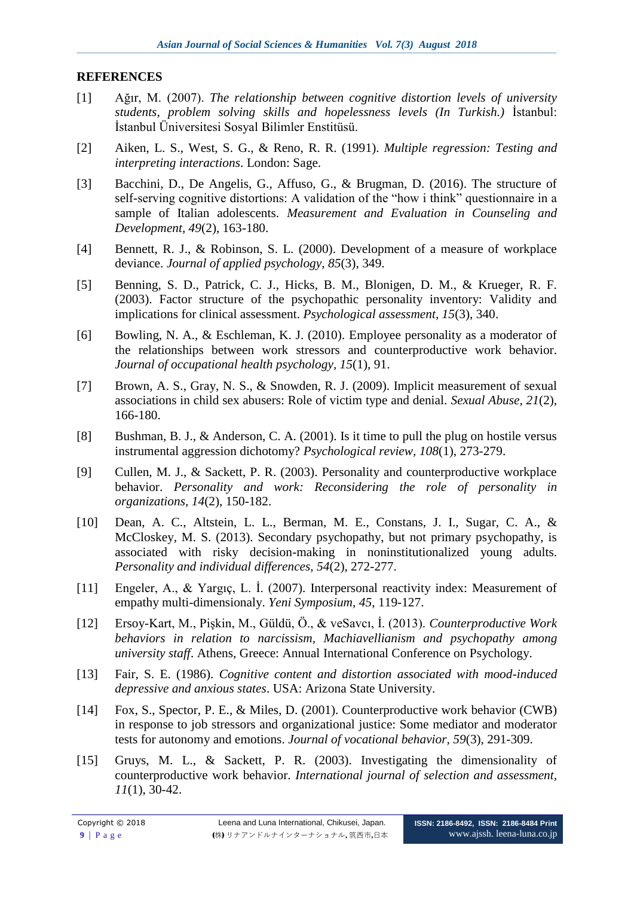#### **REFERENCES**

- [1] Ağır, M. (2007). *The relationship between cognitive distortion levels of university students, problem solving skills and hopelessness levels (In Turkish.)* İstanbul: İstanbul Üniversitesi Sosyal Bilimler Enstitüsü.
- [2] Aiken, L. S., West, S. G., & Reno, R. R. (1991). *Multiple regression: Testing and interpreting interactions*. London: Sage.
- [3] Bacchini, D., De Angelis, G., Affuso, G., & Brugman, D. (2016). The structure of self-serving cognitive distortions: A validation of the "how i think" questionnaire in a sample of Italian adolescents. *Measurement and Evaluation in Counseling and Development, 49*(2), 163-180.
- [4] Bennett, R. J., & Robinson, S. L. (2000). Development of a measure of workplace deviance. *Journal of applied psychology, 85*(3), 349.
- [5] Benning, S. D., Patrick, C. J., Hicks, B. M., Blonigen, D. M., & Krueger, R. F. (2003). Factor structure of the psychopathic personality inventory: Validity and implications for clinical assessment. *Psychological assessment, 15*(3), 340.
- [6] Bowling, N. A., & Eschleman, K. J. (2010). Employee personality as a moderator of the relationships between work stressors and counterproductive work behavior. *Journal of occupational health psychology, 15*(1), 91.
- [7] Brown, A. S., Gray, N. S., & Snowden, R. J. (2009). Implicit measurement of sexual associations in child sex abusers: Role of victim type and denial. *Sexual Abuse, 21*(2), 166-180.
- [8] Bushman, B. J., & Anderson, C. A. (2001). Is it time to pull the plug on hostile versus instrumental aggression dichotomy? *Psychological review, 108*(1), 273-279.
- [9] Cullen, M. J., & Sackett, P. R. (2003). Personality and counterproductive workplace behavior. *Personality and work: Reconsidering the role of personality in organizations, 14*(2), 150-182.
- [10] Dean, A. C., Altstein, L. L., Berman, M. E., Constans, J. I., Sugar, C. A., & McCloskey, M. S. (2013). Secondary psychopathy, but not primary psychopathy, is associated with risky decision-making in noninstitutionalized young adults. *Personality and individual differences, 54*(2), 272-277.
- [11] Engeler, A., & Yargıç, L. İ. (2007). Interpersonal reactivity index: Measurement of empathy multi-dimensionaly. *Yeni Symposium, 45*, 119-127.
- [12] Ersoy-Kart, M., Pişkin, M., Güldü, Ö., & veSavcı, İ. (2013). *Counterproductive Work behaviors in relation to narcissism, Machiavellianism and psychopathy among university staff*. Athens, Greece: Annual International Conference on Psychology.
- [13] Fair, S. E. (1986). *Cognitive content and distortion associated with mood-induced depressive and anxious states*. USA: Arizona State University.
- [14] Fox, S., Spector, P. E., & Miles, D. (2001). Counterproductive work behavior (CWB) in response to job stressors and organizational justice: Some mediator and moderator tests for autonomy and emotions. *Journal of vocational behavior, 59*(3), 291-309.
- [15] Gruys, M. L., & Sackett, P. R. (2003). Investigating the dimensionality of counterproductive work behavior. *International journal of selection and assessment, 11*(1), 30-42.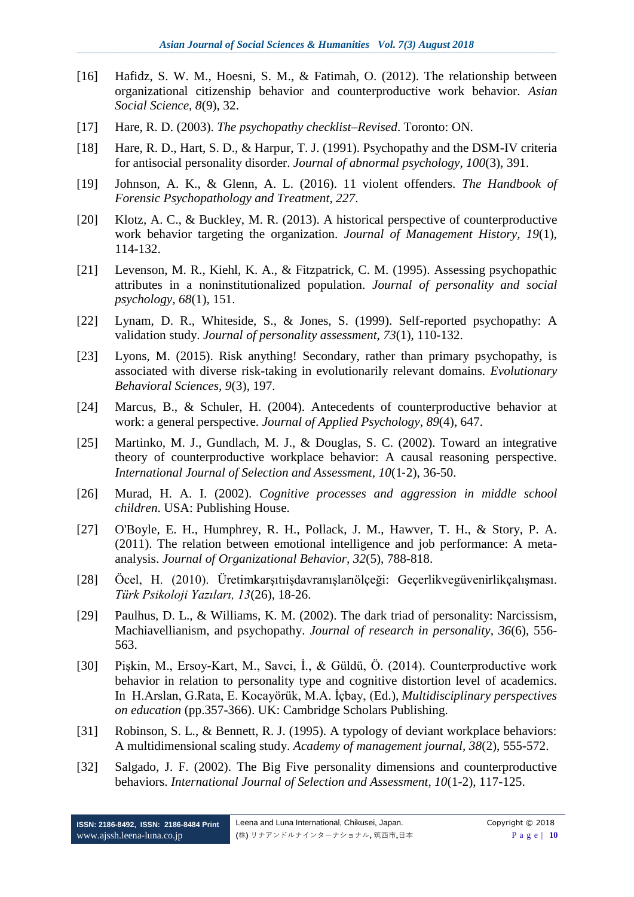- [16] Hafidz, S. W. M., Hoesni, S. M., & Fatimah, O. (2012). The relationship between organizational citizenship behavior and counterproductive work behavior. *Asian Social Science, 8*(9), 32.
- [17] Hare, R. D. (2003). *The psychopathy checklist–Revised*. Toronto: ON.
- [18] Hare, R. D., Hart, S. D., & Harpur, T. J. (1991). Psychopathy and the DSM-IV criteria for antisocial personality disorder. *Journal of abnormal psychology, 100*(3), 391.
- [19] Johnson, A. K., & Glenn, A. L. (2016). 11 violent offenders. *The Handbook of Forensic Psychopathology and Treatment, 227*.
- [20] Klotz, A. C., & Buckley, M. R. (2013). A historical perspective of counterproductive work behavior targeting the organization. *Journal of Management History, 19*(1), 114-132.
- [21] Levenson, M. R., Kiehl, K. A., & Fitzpatrick, C. M. (1995). Assessing psychopathic attributes in a noninstitutionalized population. *Journal of personality and social psychology, 68*(1), 151.
- [22] Lynam, D. R., Whiteside, S., & Jones, S. (1999). Self-reported psychopathy: A validation study. *Journal of personality assessment, 73*(1), 110-132.
- [23] Lyons, M. (2015). Risk anything! Secondary, rather than primary psychopathy, is associated with diverse risk-taking in evolutionarily relevant domains. *Evolutionary Behavioral Sciences, 9*(3), 197.
- [24] Marcus, B., & Schuler, H. (2004). Antecedents of counterproductive behavior at work: a general perspective. *Journal of Applied Psychology, 89*(4), 647.
- [25] Martinko, M. J., Gundlach, M. J., & Douglas, S. C. (2002). Toward an integrative theory of counterproductive workplace behavior: A causal reasoning perspective. *International Journal of Selection and Assessment, 10*(1‐2), 36-50.
- [26] Murad, H. A. I. (2002). *Cognitive processes and aggression in middle school children*. USA: Publishing House.
- [27] O'Boyle, E. H., Humphrey, R. H., Pollack, J. M., Hawver, T. H., & Story, P. A. (2011). The relation between emotional intelligence and job performance: A metaanalysis. *Journal of Organizational Behavior, 32*(5), 788-818.
- [28] Öcel, H. (2010). Üretimkarşıtıişdavranışlarıölçeği: Geçerlikvegüvenirlikçalışması. *Türk Psikoloji Yazıları, 13*(26), 18-26.
- [29] Paulhus, D. L., & Williams, K. M. (2002). The dark triad of personality: Narcissism, Machiavellianism, and psychopathy. *Journal of research in personality, 36*(6), 556- 563.
- [30] Pişkin, M., Ersoy-Kart, M., Savci, İ., & Güldü, Ö. (2014). Counterproductive work behavior in relation to personality type and cognitive distortion level of academics. In H.Arslan, G.Rata, E. Kocayörük, M.A. İçbay, (Ed.), *Multidisciplinary perspectives on education* (pp.357-366). UK: Cambridge Scholars Publishing.
- [31] Robinson, S. L., & Bennett, R. J. (1995). A typology of deviant workplace behaviors: A multidimensional scaling study. *Academy of management journal, 38*(2), 555-572.
- [32] Salgado, J. F. (2002). The Big Five personality dimensions and counterproductive behaviors. *International Journal of Selection and Assessment, 10*(1-2), 117-125.